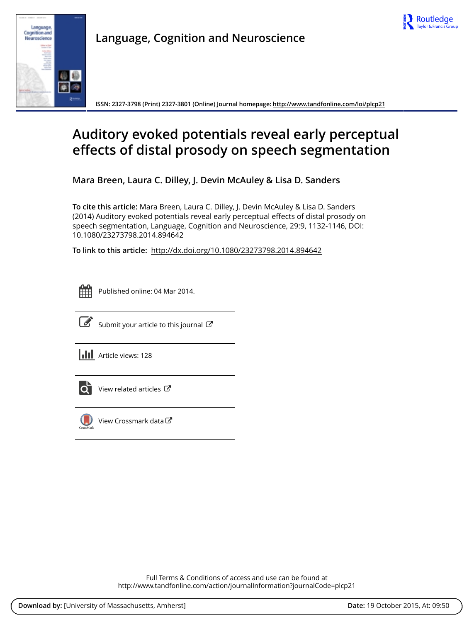



**Language, Cognition and Neuroscience**

**ISSN: 2327-3798 (Print) 2327-3801 (Online) Journal homepage:<http://www.tandfonline.com/loi/plcp21>**

# **Auditory evoked potentials reveal early perceptual effects of distal prosody on speech segmentation**

**Mara Breen, Laura C. Dilley, J. Devin McAuley & Lisa D. Sanders**

**To cite this article:** Mara Breen, Laura C. Dilley, J. Devin McAuley & Lisa D. Sanders (2014) Auditory evoked potentials reveal early perceptual effects of distal prosody on speech segmentation, Language, Cognition and Neuroscience, 29:9, 1132-1146, DOI: [10.1080/23273798.2014.894642](http://www.tandfonline.com/action/showCitFormats?doi=10.1080/23273798.2014.894642)

**To link to this article:** <http://dx.doi.org/10.1080/23273798.2014.894642>

Published online: 04 Mar 2014.



 $\overrightarrow{S}$  [Submit your article to this journal](http://www.tandfonline.com/action/authorSubmission?journalCode=plcp21&page=instructions)  $\overrightarrow{S}$ 

**Article views: 128** 



View related articles



[View Crossmark data](http://crossmark.crossref.org/dialog/?doi=10.1080/23273798.2014.894642&domain=pdf&date_stamp=2014-03-04)

Full Terms & Conditions of access and use can be found at <http://www.tandfonline.com/action/journalInformation?journalCode=plcp21>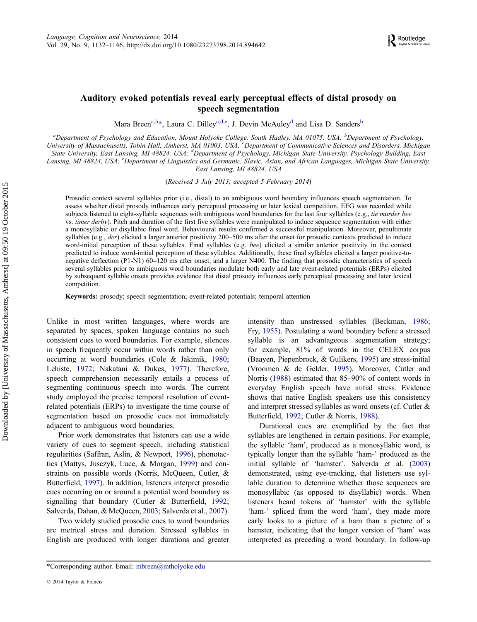

# Auditory evoked potentials reveal early perceptual effects of distal prosody on speech segmentation

Mara Breen<sup>a,b\*</sup>, Laura C. Dilley<sup>c,d,e</sup>, J. Devin McAuley<sup>d</sup> and Lisa D. Sanders<sup>b</sup>

<sup>a</sup>Department of Psychology and Education, Mount Holyoke College, South Hadley, MA 01075, USA; <sup>b</sup>Department of Psychology, University of Massachusetts, Tobin Hall, Amherst, MA 01003, USA; CDepartment of Communicative Sciences and Disorders, Michigan<br>State University, East Lansing, MI 48824, USA; <sup>d</sup>Department of Psychology, Michigan State Univ Lansing, MI 48824, USA; <sup>e</sup>Department of Linguistics and Germanic, Slavic, Asian, and African Languages, Michigan State University, East Lansing, MI 48824, USA

(Received 3 July 2013; accepted 5 February 2014)

Prosodic context several syllables prior (i.e., distal) to an ambiguous word boundary influences speech segmentation. To assess whether distal prosody influences early perceptual processing or later lexical competition, EEG was recorded while subjects listened to eight-syllable sequences with ambiguous word boundaries for the last four syllables (e.g., tie murder bee vs. *timer derby*). Pitch and duration of the first five syllables were manipulated to induce sequence segmentation with either a monosyllabic or disyllabic final word. Behavioural results confirmed a successful manipulation. Moreover, penultimate syllables (e.g., *der*) elicited a larger anterior positivity 200–500 ms after the onset for prosodic contexts predicted to induce word-initial perception of these syllables. Final syllables (e.g. bee) elicited a similar anterior positivity in the context predicted to induce word-initial perception of these syllables. Additionally, these final syllables elicited a larger positive-tonegative deflection (P1-N1) 60–120 ms after onset, and a larger N400. The finding that prosodic characteristics of speech several syllables prior to ambiguous word boundaries modulate both early and late event-related potentials (ERPs) elicited by subsequent syllable onsets provides evidence that distal prosody influences early perceptual processing and later lexical competition.

Keywords: prosody; speech segmentation; event-related potentials; temporal attention

Unlike in most written languages, where words are separated by spaces, spoken language contains no such consistent cues to word boundaries. For example, silences in speech frequently occur within words rather than only occurring at word boundaries (Cole & Jakimik, [1980](#page-13-0); Lehiste, [1972;](#page-14-0) Nakatani & Dukes, [1977\)](#page-14-0). Therefore, speech comprehension necessarily entails a process of segmenting continuous speech into words. The current study employed the precise temporal resolution of eventrelated potentials (ERPs) to investigate the time course of segmentation based on prosodic cues not immediately adjacent to ambiguous word boundaries.

Prior work demonstrates that listeners can use a wide variety of cues to segment speech, including statistical regularities (Saffran, Aslin, & Newport, [1996](#page-14-0)), phonotactics (Mattys, Jusczyk, Luce, & Morgan, [1999](#page-14-0)) and constraints on possible words (Norris, McQueen, Cutler, & Butterfield, [1997\)](#page-14-0). In addition, listeners interpret prosodic cues occurring on or around a potential word boundary as signalling that boundary (Cutler & Butterfield, [1992](#page-13-0); Salverda, Dahan, & McQueen, [2003;](#page-14-0) Salverda et al., [2007](#page-14-0)).

Two widely studied prosodic cues to word boundaries are metrical stress and duration. Stressed syllables in English are produced with longer durations and greater intensity than unstressed syllables (Beckman, [1986](#page-13-0); Fry, [1955](#page-14-0)). Postulating a word boundary before a stressed syllable is an advantageous segmentation strategy; for example, 81% of words in the CELEX corpus (Baayen, Piepenbrock, & Gulikers, [1995\)](#page-13-0) are stress-initial (Vroomen & de Gelder, [1995](#page-14-0)). Moreover, Cutler and Norris [\(1988](#page-13-0)) estimated that 85–90% of content words in everyday English speech have initial stress. Evidence shows that native English speakers use this consistency and interpret stressed syllables as word onsets (cf. Cutler & Butterfield, [1992;](#page-13-0) Cutler & Norris, [1988](#page-13-0)).

Durational cues are exemplified by the fact that syllables are lengthened in certain positions. For example, the syllable 'ham', produced as a monosyllabic word, is typically longer than the syllable 'ham-' produced as the initial syllable of 'hamster'. Salverda et al. ([2003\)](#page-14-0) demonstrated, using eye-tracking, that listeners use syllable duration to determine whether those sequences are monosyllabic (as opposed to disyllabic) words. When listeners heard tokens of 'hamster' with the syllable 'ham-' spliced from the word 'ham', they made more early looks to a picture of a ham than a picture of a hamster, indicating that the longer version of 'ham' was interpreted as preceding a word boundary. In follow-up

<sup>\*</sup>Corresponding author. Email: [mbreen@mtholyoke.edu](mailto:mbreen@mtholyoke.edu)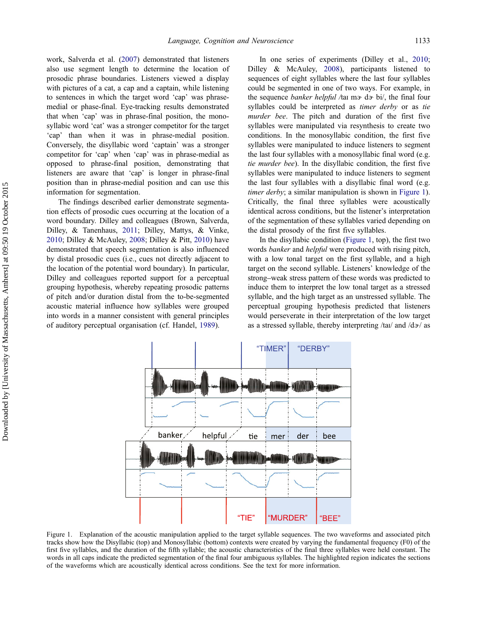<span id="page-2-0"></span>work, Salverda et al. [\(2007](#page-14-0)) demonstrated that listeners also use segment length to determine the location of prosodic phrase boundaries. Listeners viewed a display with pictures of a cat, a cap and a captain, while listening to sentences in which the target word 'cap' was phrasemedial or phase-final. Eye-tracking results demonstrated that when 'cap' was in phrase-final position, the monosyllabic word 'cat' was a stronger competitor for the target 'cap' than when it was in phrase-medial position. Conversely, the disyllabic word 'captain' was a stronger competitor for 'cap' when 'cap' was in phrase-medial as opposed to phrase-final position, demonstrating that listeners are aware that 'cap' is longer in phrase-final position than in phrase-medial position and can use this information for segmentation.

The findings described earlier demonstrate segmentation effects of prosodic cues occurring at the location of a word boundary. Dilley and colleagues (Brown, Salverda, Dilley, & Tanenhaus, [2011](#page-13-0); Dilley, Mattys, & Vinke, [2010;](#page-13-0) Dilley & McAuley, [2008](#page-13-0); Dilley & Pitt, [2010\)](#page-13-0) have demonstrated that speech segmentation is also influenced by distal prosodic cues (i.e., cues not directly adjacent to the location of the potential word boundary). In particular, Dilley and colleagues reported support for a perceptual grouping hypothesis, whereby repeating prosodic patterns of pitch and/or duration distal from the to-be-segmented acoustic material influence how syllables were grouped into words in a manner consistent with general principles of auditory perceptual organisation (cf. Handel, [1989\)](#page-14-0).

In one series of experiments (Dilley et al., [2010](#page-13-0); Dilley & McAuley, [2008](#page-13-0)), participants listened to sequences of eight syllables where the last four syllables could be segmented in one of two ways. For example, in the sequence *banker helpful* /tai m $\infty$  d $\infty$  bi/, the final four syllables could be interpreted as *timer derby* or as *tie* murder bee. The pitch and duration of the first five syllables were manipulated via resynthesis to create two conditions. In the monosyllabic condition, the first five syllables were manipulated to induce listeners to segment the last four syllables with a monosyllabic final word (e.g. tie murder bee). In the disyllabic condition, the first five syllables were manipulated to induce listeners to segment the last four syllables with a disyllabic final word (e.g. timer derby; a similar manipulation is shown in Figure 1). Critically, the final three syllables were acoustically identical across conditions, but the listener's interpretation of the segmentation of these syllables varied depending on the distal prosody of the first five syllables.

In the disyllabic condition (Figure 1, top), the first two words banker and helpful were produced with rising pitch, with a low tonal target on the first syllable, and a high target on the second syllable. Listeners' knowledge of the strong–weak stress pattern of these words was predicted to induce them to interpret the low tonal target as a stressed syllable, and the high target as an unstressed syllable. The perceptual grouping hypothesis predicted that listeners would perseverate in their interpretation of the low target as a stressed syllable, thereby interpreting  $/tan/$  and  $/dx/$  as



Figure 1. Explanation of the acoustic manipulation applied to the target syllable sequences. The two waveforms and associated pitch tracks show how the Disyllabic (top) and Monosyllabic (bottom) contexts were created by varying the fundamental frequency (F0) of the first five syllables, and the duration of the fifth syllable; the acoustic characteristics of the final three syllables were held constant. The words in all caps indicate the predicted segmentation of the final four ambiguous syllables. The highlighted region indicates the sections of the waveforms which are acoustically identical across conditions. See the text for more information.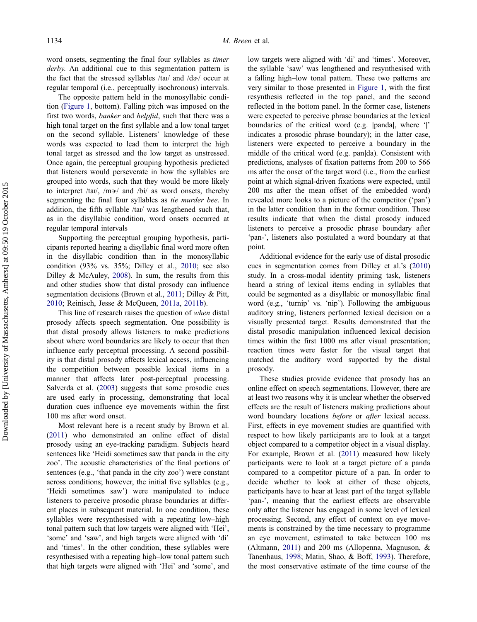word onsets, segmenting the final four syllables as timer derby. An additional cue to this segmentation pattern is the fact that the stressed syllables /taɪ/ and /d $\alpha$ / occur at regular temporal (i.e., perceptually isochronous) intervals.

The opposite pattern held in the monosyllabic condition [\(Figure 1](#page-2-0), bottom). Falling pitch was imposed on the first two words, banker and helpful, such that there was a high tonal target on the first syllable and a low tonal target on the second syllable. Listeners' knowledge of these words was expected to lead them to interpret the high tonal target as stressed and the low target as unstressed. Once again, the perceptual grouping hypothesis predicted that listeners would perseverate in how the syllables are grouped into words, such that they would be more likely to interpret /tai/,  $/m\partial y$  and /bi/ as word onsets, thereby segmenting the final four syllables as tie murder bee. In addition, the fifth syllable /taɪ/ was lengthened such that, as in the disyllabic condition, word onsets occurred at regular temporal intervals

Supporting the perceptual grouping hypothesis, participants reported hearing a disyllabic final word more often in the disyllabic condition than in the monosyllabic condition (93% vs. 35%; Dilley et al., [2010](#page-13-0); see also Dilley & McAuley, [2008\)](#page-13-0). In sum, the results from this and other studies show that distal prosody can influence segmentation decisions (Brown et al., [2011;](#page-13-0) Dilley & Pitt, [2010;](#page-13-0) Reinisch, Jesse & McQueen, [2011a,](#page-14-0) [2011b](#page-14-0)).

This line of research raises the question of when distal prosody affects speech segmentation. One possibility is that distal prosody allows listeners to make predictions about where word boundaries are likely to occur that then influence early perceptual processing. A second possibility is that distal prosody affects lexical access, influencing the competition between possible lexical items in a manner that affects later post-perceptual processing. Salverda et al. [\(2003](#page-14-0)) suggests that some prosodic cues are used early in processing, demonstrating that local duration cues influence eye movements within the first 100 ms after word onset.

Most relevant here is a recent study by Brown et al. ([2011\)](#page-13-0) who demonstrated an online effect of distal prosody using an eye-tracking paradigm. Subjects heard sentences like 'Heidi sometimes saw that panda in the city zoo'. The acoustic characteristics of the final portions of sentences (e.g., 'that panda in the city zoo') were constant across conditions; however, the initial five syllables (e.g., 'Heidi sometimes saw') were manipulated to induce listeners to perceive prosodic phrase boundaries at different places in subsequent material. In one condition, these syllables were resynthesised with a repeating low–high tonal pattern such that low targets were aligned with 'Hei', 'some' and 'saw', and high targets were aligned with 'di' and 'times'. In the other condition, these syllables were resynthesised with a repeating high–low tonal pattern such that high targets were aligned with 'Hei' and 'some', and

low targets were aligned with 'di' and 'times'. Moreover, the syllable 'saw' was lengthened and resynthesised with a falling high–low tonal pattern. These two patterns are very similar to those presented in [Figure 1](#page-2-0), with the first resynthesis reflected in the top panel, and the second reflected in the bottom panel. In the former case, listeners were expected to perceive phrase boundaries at the lexical boundaries of the critical word (e.g. ∣panda∣, where '∣' indicates a prosodic phrase boundary); in the latter case, listeners were expected to perceive a boundary in the middle of the critical word (e.g. pan∣da). Consistent with predictions, analyses of fixation patterns from 200 to 566 ms after the onset of the target word (i.e., from the earliest point at which signal-driven fixations were expected, until 200 ms after the mean offset of the embedded word) revealed more looks to a picture of the competitor ('pan') in the latter condition than in the former condition. These results indicate that when the distal prosody induced listeners to perceive a prosodic phrase boundary after 'pan-', listeners also postulated a word boundary at that point.

Additional evidence for the early use of distal prosodic cues in segmentation comes from Dilley et al.'s ([2010\)](#page-13-0) study. In a cross-modal identity priming task, listeners heard a string of lexical items ending in syllables that could be segmented as a disyllabic or monosyllabic final word (e.g., 'turnip' vs. 'nip'). Following the ambiguous auditory string, listeners performed lexical decision on a visually presented target. Results demonstrated that the distal prosodic manipulation influenced lexical decision times within the first 1000 ms after visual presentation; reaction times were faster for the visual target that matched the auditory word supported by the distal prosody.

These studies provide evidence that prosody has an online effect on speech segmentations. However, there are at least two reasons why it is unclear whether the observed effects are the result of listeners making predictions about word boundary locations *before* or *after* lexical access. First, effects in eye movement studies are quantified with respect to how likely participants are to look at a target object compared to a competitor object in a visual display. For example, Brown et al. ([2011\)](#page-13-0) measured how likely participants were to look at a target picture of a panda compared to a competitor picture of a pan. In order to decide whether to look at either of these objects, participants have to hear at least part of the target syllable 'pan-', meaning that the earliest effects are observable only after the listener has engaged in some level of lexical processing. Second, any effect of context on eye movements is constrained by the time necessary to programme an eye movement, estimated to take between 100 ms (Altmann, [2011\)](#page-13-0) and 200 ms (Allopenna, Magnuson,  $\&$ Tanenhaus, [1998;](#page-13-0) Matin, Shao, & Boff, [1993\)](#page-14-0). Therefore, the most conservative estimate of the time course of the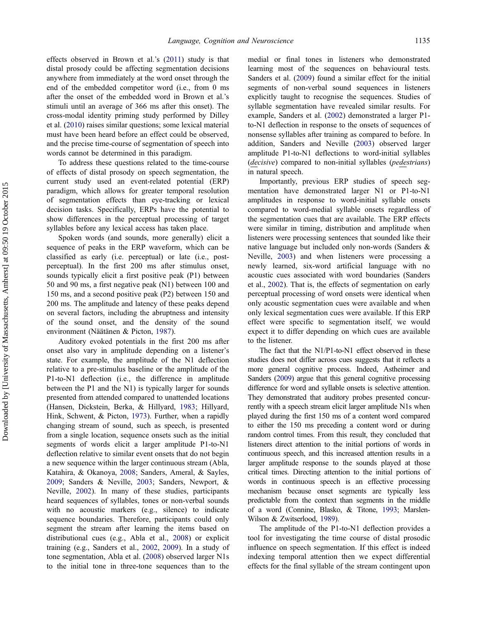effects observed in Brown et al.'s [\(2011\)](#page-13-0) study is that distal prosody could be affecting segmentation decisions anywhere from immediately at the word onset through the end of the embedded competitor word (i.e., from 0 ms after the onset of the embedded word in Brown et al.'s stimuli until an average of 366 ms after this onset). The cross-modal identity priming study performed by Dilley et al. ([2010\)](#page-13-0) raises similar questions; some lexical material must have been heard before an effect could be observed, and the precise time-course of segmentation of speech into words cannot be determined in this paradigm.

To address these questions related to the time-course of effects of distal prosody on speech segmentation, the current study used an event-related potential (ERP) paradigm, which allows for greater temporal resolution of segmentation effects than eye-tracking or lexical decision tasks. Specifically, ERPs have the potential to show differences in the perceptual processing of target syllables before any lexical access has taken place.

Spoken words (and sounds, more generally) elicit a sequence of peaks in the ERP waveform, which can be classified as early (i.e. perceptual) or late (i.e., postperceptual). In the first 200 ms after stimulus onset, sounds typically elicit a first positive peak (P1) between 50 and 90 ms, a first negative peak (N1) between 100 and 150 ms, and a second positive peak (P2) between 150 and 200 ms. The amplitude and latency of these peaks depend on several factors, including the abruptness and intensity of the sound onset, and the density of the sound environment (Näätänen & Picton, [1987\)](#page-14-0).

Auditory evoked potentials in the first 200 ms after onset also vary in amplitude depending on a listener's state. For example, the amplitude of the N1 deflection relative to a pre-stimulus baseline or the amplitude of the P1-to-N1 deflection (i.e., the difference in amplitude between the P1 and the N1) is typically larger for sounds presented from attended compared to unattended locations (Hansen, Dickstein, Berka, & Hillyard, [1983;](#page-14-0) Hillyard, Hink, Schwent, & Picton, [1973\)](#page-14-0). Further, when a rapidly changing stream of sound, such as speech, is presented from a single location, sequence onsets such as the initial segments of words elicit a larger amplitude P1-to-N1 deflection relative to similar event onsets that do not begin a new sequence within the larger continuous stream (Abla, Katahira, & Okanoya, [2008](#page-13-0); Sanders, Ameral, & Sayles, [2009;](#page-14-0) Sanders & Neville, [2003;](#page-14-0) Sanders, Newport, & Neville, [2002](#page-14-0)). In many of these studies, participants heard sequences of syllables, tones or non-verbal sounds with no acoustic markers (e.g., silence) to indicate sequence boundaries. Therefore, participants could only segment the stream after learning the items based on distributional cues (e.g., Abla et al., [2008\)](#page-13-0) or explicit training (e.g., Sanders et al., [2002,](#page-14-0) [2009](#page-14-0)). In a study of tone segmentation, Abla et al. ([2008\)](#page-13-0) observed larger N1s to the initial tone in three-tone sequences than to the

medial or final tones in listeners who demonstrated learning most of the sequences on behavioural tests. Sanders et al. [\(2009](#page-14-0)) found a similar effect for the initial segments of non-verbal sound sequences in listeners explicitly taught to recognise the sequences. Studies of syllable segmentation have revealed similar results. For example, Sanders et al. [\(2002](#page-14-0)) demonstrated a larger P1 to-N1 deflection in response to the onsets of sequences of nonsense syllables after training as compared to before. In addition, Sanders and Neville [\(2003](#page-14-0)) observed larger amplitude P1-to-N1 deflections to word-initial syllables (decisive) compared to non-initial syllables (pedestrians) in natural speech.

Importantly, previous ERP studies of speech segmentation have demonstrated larger N1 or P1-to-N1 amplitudes in response to word-initial syllable onsets compared to word-medial syllable onsets regardless of the segmentation cues that are available. The ERP effects were similar in timing, distribution and amplitude when listeners were processing sentences that sounded like their native language but included only non-words (Sanders & Neville, [2003](#page-14-0)) and when listeners were processing a newly learned, six-word artificial language with no acoustic cues associated with word boundaries (Sanders et al., [2002](#page-14-0)). That is, the effects of segmentation on early perceptual processing of word onsets were identical when only acoustic segmentation cues were available and when only lexical segmentation cues were available. If this ERP effect were specific to segmentation itself, we would expect it to differ depending on which cues are available to the listener.

The fact that the N1/P1-to-N1 effect observed in these studies does not differ across cues suggests that it reflects a more general cognitive process. Indeed, Astheimer and Sanders [\(2009\)](#page-13-0) argue that this general cognitive processing difference for word and syllable onsets is selective attention. They demonstrated that auditory probes presented concurrently with a speech stream elicit larger amplitude N1s when played during the first 150 ms of a content word compared to either the 150 ms preceding a content word or during random control times. From this result, they concluded that listeners direct attention to the initial portions of words in continuous speech, and this increased attention results in a larger amplitude response to the sounds played at those critical times. Directing attention to the initial portions of words in continuous speech is an effective processing mechanism because onset segments are typically less predictable from the context than segments in the middle of a word (Connine, Blasko, & Titone, [1993](#page-13-0); Marslen-Wilson & Zwitserlood, [1989](#page-14-0)).

The amplitude of the P1-to-N1 deflection provides a tool for investigating the time course of distal prosodic influence on speech segmentation. If this effect is indeed indexing temporal attention then we expect differential effects for the final syllable of the stream contingent upon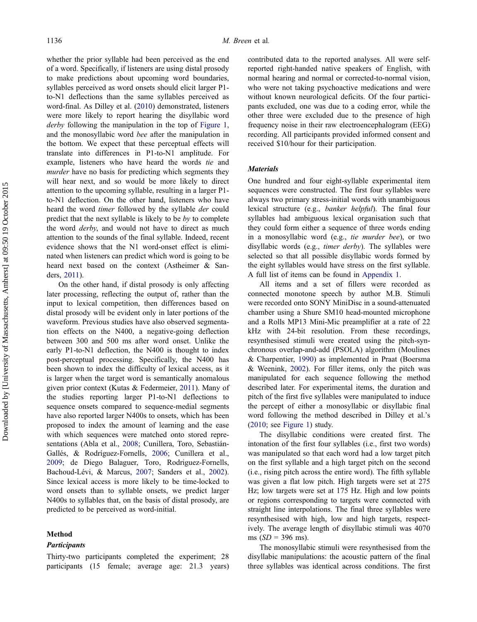whether the prior syllable had been perceived as the end of a word. Specifically, if listeners are using distal prosody to make predictions about upcoming word boundaries, syllables perceived as word onsets should elicit larger P1 to-N1 deflections than the same syllables perceived as word-final. As Dilley et al. ([2010\)](#page-13-0) demonstrated, listeners were more likely to report hearing the disyllabic word derby following the manipulation in the top of [Figure 1](#page-2-0), and the monosyllabic word bee after the manipulation in the bottom. We expect that these perceptual effects will translate into differences in P1-to-N1 amplitude. For example, listeners who have heard the words tie and murder have no basis for predicting which segments they will hear next, and so would be more likely to direct attention to the upcoming syllable, resulting in a larger P1 to-N1 deflection. On the other hand, listeners who have heard the word timer followed by the syllable der could predict that the next syllable is likely to be by to complete the word *derby*, and would not have to direct as much attention to the sounds of the final syllable. Indeed, recent evidence shows that the N1 word-onset effect is eliminated when listeners can predict which word is going to be heard next based on the context (Astheimer & Sanders, [2011\)](#page-13-0).

On the other hand, if distal prosody is only affecting later processing, reflecting the output of, rather than the input to lexical competition, then differences based on distal prosody will be evident only in later portions of the waveform. Previous studies have also observed segmentation effects on the N400, a negative-going deflection between 300 and 500 ms after word onset. Unlike the early P1-to-N1 deflection, the N400 is thought to index post-perceptual processing. Specifically, the N400 has been shown to index the difficulty of lexical access, as it is larger when the target word is semantically anomalous given prior context (Kutas & Federmeier, [2011](#page-14-0)). Many of the studies reporting larger P1-to-N1 deflections to sequence onsets compared to sequence-medial segments have also reported larger N400s to onsets, which has been proposed to index the amount of learning and the ease with which sequences were matched onto stored representations (Abla et al., [2008;](#page-13-0) Cunillera, Toro, Sebastián-Gallés, & Rodríguez-Fornells, [2006](#page-13-0); Cunillera et al., [2009;](#page-13-0) de Diego Balaguer, Toro, Rodriguez-Fornells, Bachoud-Lévi, & Marcus, [2007;](#page-13-0) Sanders et al., [2002](#page-14-0)). Since lexical access is more likely to be time-locked to word onsets than to syllable onsets, we predict larger N400s to syllables that, on the basis of distal prosody, are predicted to be perceived as word-initial.

# Method

#### **Participants**

Thirty-two participants completed the experiment; 28 participants (15 female; average age: 21.3 years) contributed data to the reported analyses. All were selfreported right-handed native speakers of English, with normal hearing and normal or corrected-to-normal vision, who were not taking psychoactive medications and were without known neurological deficits. Of the four participants excluded, one was due to a coding error, while the other three were excluded due to the presence of high frequency noise in their raw electroencephalogram (EEG) recording. All participants provided informed consent and received \$10/hour for their participation.

# **Materials**

One hundred and four eight-syllable experimental item sequences were constructed. The first four syllables were always two primary stress-initial words with unambiguous lexical structure (e.g., *banker helpful*). The final four syllables had ambiguous lexical organisation such that they could form either a sequence of three words ending in a monosyllabic word (e.g., tie murder bee), or two disyllabic words (e.g., *timer derby*). The syllables were selected so that all possible disyllabic words formed by the eight syllables would have stress on the first syllable. A full list of items can be found in [Appendix 1](#page-2-0).

All items and a set of fillers were recorded as connected monotone speech by author M.B. Stimuli were recorded onto SONY MiniDisc in a sound-attenuated chamber using a Shure SM10 head-mounted microphone and a Rolls MP13 Mini-Mic preamplifier at a rate of 22 kHz with 24-bit resolution. From these recordings, resynthesised stimuli were created using the pitch-synchronous overlap-and-add (PSOLA) algorithm (Moulines & Charpentier, [1990\)](#page-14-0) as implemented in Praat (Boersma & Weenink, [2002\)](#page-13-0). For filler items, only the pitch was manipulated for each sequence following the method described later. For experimental items, the duration and pitch of the first five syllables were manipulated to induce the percept of either a monosyllabic or disyllabic final word following the method described in Dilley et al.'s ([2010;](#page-13-0) see [Figure 1\)](#page-2-0) study.

The disyllabic conditions were created first. The intonation of the first four syllables (i.e., first two words) was manipulated so that each word had a low target pitch on the first syllable and a high target pitch on the second (i.e., rising pitch across the entire word). The fifth syllable was given a flat low pitch. High targets were set at 275 Hz; low targets were set at 175 Hz. High and low points or regions corresponding to targets were connected with straight line interpolations. The final three syllables were resynthesised with high, low and high targets, respectively. The average length of disyllabic stimuli was 4070  $ms (SD = 396 ms).$ 

The monosyllabic stimuli were resynthesised from the disyllabic manipulations: the acoustic pattern of the final three syllables was identical across conditions. The first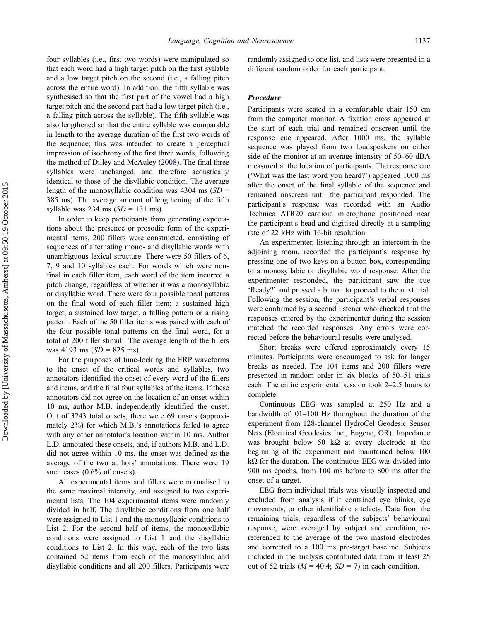four syllables (i.e., first two words) were manipulated so that each word had a high target pitch on the first syllable and a low target pitch on the second (i.e., a falling pitch across the entire word). In addition, the fifth syllable was synthesised so that the first part of the vowel had a high target pitch and the second part had a low target pitch (i.e., a falling pitch across the syllable). The fifth syllable was also lengthened so that the entire syllable was comparable in length to the average duration of the first two words of the sequence; this was intended to create a perceptual impression of isochrony of the first three words, following the method of Dilley and McAuley ([2008\)](#page-13-0). The final three syllables were unchanged, and therefore acoustically identical to those of the disyllabic condition. The average length of the monosyllabic condition was 4304 ms  $(SD =$ 385 ms). The average amount of lengthening of the fifth syllable was 234 ms  $(SD = 131 \text{ ms})$ .

In order to keep participants from generating expectations about the presence or prosodic form of the experimental items, 200 fillers were constructed, consisting of sequences of alternating mono- and disyllabic words with unambiguous lexical structure. There were 50 fillers of 6, 7, 9 and 10 syllables each. For words which were nonfinal in each filler item, each word of the item incurred a pitch change, regardless of whether it was a monosyllabic or disyllabic word. There were four possible tonal patterns on the final word of each filler item: a sustained high target, a sustained low target, a falling pattern or a rising pattern. Each of the 50 filler items was paired with each of the four possible tonal patterns on the final word, for a total of 200 filler stimuli. The average length of the fillers was 4193 ms  $(SD = 825 \text{ ms})$ .

For the purposes of time-locking the ERP waveforms to the onset of the critical words and syllables, two annotators identified the onset of every word of the fillers and items, and the final four syllables of the items. If these annotators did not agree on the location of an onset within 10 ms, author M.B. independently identified the onset. Out of 3243 total onsets, there were 69 onsets (approximately 2%) for which M.B.'s annotations failed to agree with any other annotator's location within 10 ms. Author L.D. annotated these onsets, and, if authors M.B. and L.D. did not agree within 10 ms, the onset was defined as the average of the two authors' annotations. There were 19 such cases (0.6% of onsets).

All experimental items and fillers were normalised to the same maximal intensity, and assigned to two experimental lists. The 104 experimental items were randomly divided in half. The disyllabic conditions from one half were assigned to List 1 and the monosyllabic conditions to List 2. For the second half of items, the monosyllabic conditions were assigned to List 1 and the disyllabic conditions to List 2. In this way, each of the two lists contained 52 items from each of the monosyllabic and disyllabic conditions and all 200 fillers. Participants were

randomly assigned to one list, and lists were presented in a different random order for each participant.

# Procedure

Participants were seated in a comfortable chair 150 cm from the computer monitor. A fixation cross appeared at the start of each trial and remained onscreen until the response cue appeared. After 1000 ms, the syllable sequence was played from two loudspeakers on either side of the monitor at an average intensity of 50–60 dBA measured at the location of participants. The response cue ('What was the last word you heard?') appeared 1000 ms after the onset of the final syllable of the sequence and remained onscreen until the participant responded. The participant's response was recorded with an Audio Technica ATR20 cardioid microphone positioned near the participant's head and digitised directly at a sampling rate of 22 kHz with 16-bit resolution.

An experimenter, listening through an intercom in the adjoining room, recorded the participant's response by pressing one of two keys on a button box, corresponding to a monosyllabic or disyllabic word response. After the experimenter responded, the participant saw the cue 'Ready?' and pressed a button to proceed to the next trial. Following the session, the participant's verbal responses were confirmed by a second listener who checked that the responses entered by the experimenter during the session matched the recorded responses. Any errors were corrected before the behavioural results were analysed.

Short breaks were offered approximately every 15 minutes. Participants were encouraged to ask for longer breaks as needed. The 104 items and 200 fillers were presented in random order in six blocks of 50–51 trials each. The entire experimental session took 2–2.5 hours to complete.

Continuous EEG was sampled at 250 Hz and a bandwidth of .01–100 Hz throughout the duration of the experiment from 128-channel HydroCel Geodesic Sensor Nets (Electrical Geodesics Inc., Eugene, OR). Impedance was brought below 50 k $\Omega$  at every electrode at the beginning of the experiment and maintained below 100 k $\Omega$  for the duration. The continuous EEG was divided into 900 ms epochs, from 100 ms before to 800 ms after the onset of a target.

EEG from individual trials was visually inspected and excluded from analysis if it contained eye blinks, eye movements, or other identifiable artefacts. Data from the remaining trials, regardless of the subjects' behavioural response, were averaged by subject and condition, rereferenced to the average of the two mastoid electrodes and corrected to a 100 ms pre-target baseline. Subjects included in the analysis contributed data from at least 25 out of 52 trials ( $M = 40.4$ ;  $SD = 7$ ) in each condition.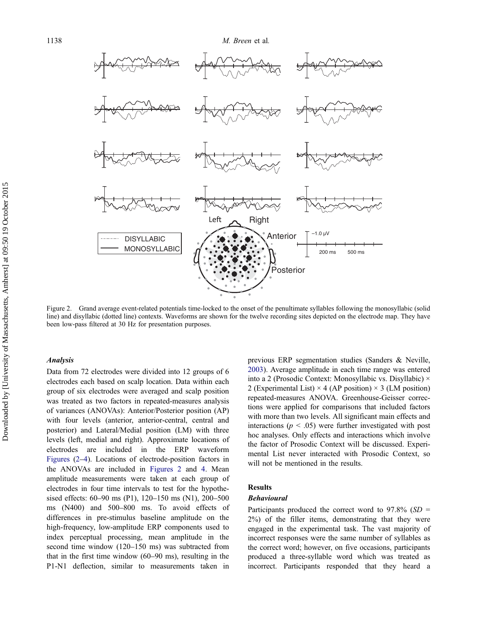<span id="page-7-0"></span>

Figure 2. Grand average event-related potentials time-locked to the onset of the penultimate syllables following the monosyllabic (solid line) and disyllabic (dotted line) contexts. Waveforms are shown for the twelve recording sites depicted on the electrode map. They have been low-pass filtered at 30 Hz for presentation purposes.

# Analysis

Data from 72 electrodes were divided into 12 groups of 6 electrodes each based on scalp location. Data within each group of six electrodes were averaged and scalp position was treated as two factors in repeated-measures analysis of variances (ANOVAs): Anterior/Posterior position (AP) with four levels (anterior, anterior-central, central and posterior) and Lateral/Medial position (LM) with three levels (left, medial and right). Approximate locations of electrodes are included in the ERP waveform Figures (2–[4\)](#page-9-0). Locations of electrode-position factors in the ANOVAs are included in Figures 2 and [4](#page-9-0). Mean amplitude measurements were taken at each group of electrodes in four time intervals to test for the hypothesised effects: 60–90 ms (P1), 120–150 ms (N1), 200–500 ms (N400) and 500–800 ms. To avoid effects of differences in pre-stimulus baseline amplitude on the high-frequency, low-amplitude ERP components used to index perceptual processing, mean amplitude in the second time window (120–150 ms) was subtracted from that in the first time window (60–90 ms), resulting in the P1-N1 deflection, similar to measurements taken in

previous ERP segmentation studies (Sanders & Neville, [2003\)](#page-14-0). Average amplitude in each time range was entered into a 2 (Prosodic Context: Monosyllabic vs. Disyllabic) × 2 (Experimental List)  $\times$  4 (AP position)  $\times$  3 (LM position) repeated-measures ANOVA. Greenhouse-Geisser corrections were applied for comparisons that included factors with more than two levels. All significant main effects and interactions ( $p < .05$ ) were further investigated with post hoc analyses. Only effects and interactions which involve the factor of Prosodic Context will be discussed. Experimental List never interacted with Prosodic Context, so will not be mentioned in the results.

# **Results**

# Behavioural

Participants produced the correct word to  $97.8\%$  (SD = 2%) of the filler items, demonstrating that they were engaged in the experimental task. The vast majority of incorrect responses were the same number of syllables as the correct word; however, on five occasions, participants produced a three-syllable word which was treated as incorrect. Participants responded that they heard a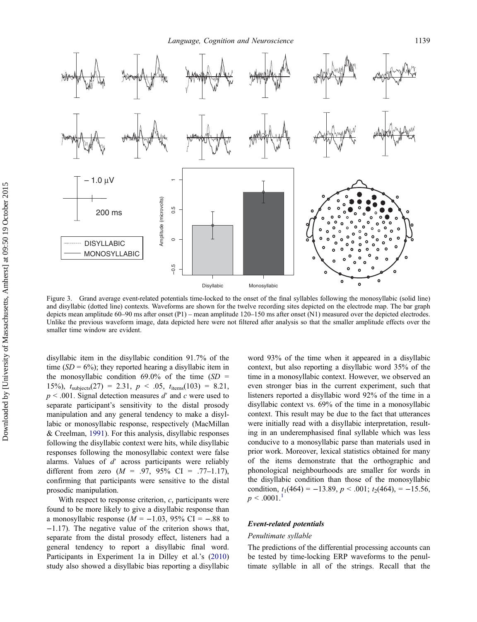<span id="page-8-0"></span>

Figure 3. Grand average event-related potentials time-locked to the onset of the final syllables following the monosyllabic (solid line) and disyllabic (dotted line) contexts. Waveforms are shown for the twelve recording sites depicted on the electrode map. The bar graph depicts mean amplitude 60–90 ms after onset (P1) – mean amplitude 120–150 ms after onset (N1) measured over the depicted electrodes. Unlike the previous waveform image, data depicted here were not filtered after analysis so that the smaller amplitude effects over the smaller time window are evident.

disyllabic item in the disyllabic condition 91.7% of the time  $(SD = 6\%)$ ; they reported hearing a disyllabic item in the monosyllabic condition 69.0% of the time  $(SD =$ 15%),  $t_{\text{subjects}}(27) = 2.31$ ,  $p < .05$ ,  $t_{\text{items}}(103) = 8.21$ ,  $p < .001$ . Signal detection measures d' and c were used to separate participant's sensitivity to the distal prosody manipulation and any general tendency to make a disyllabic or monosyllabic response, respectively (MacMillan & Creelman, [1991\)](#page-14-0). For this analysis, disyllabic responses following the disyllabic context were hits, while disyllabic responses following the monosyllabic context were false alarms. Values of d′ across participants were reliably different from zero  $(M = .97, 95\% \text{ CI} = .77-1.17)$ , confirming that participants were sensitive to the distal prosodic manipulation.

With respect to response criterion,  $c$ , participants were found to be more likely to give a disyllabic response than a monosyllabic response ( $M = -1.03$ , 95% CI = -.88 to −1.17). The negative value of the criterion shows that, separate from the distal prosody effect, listeners had a general tendency to report a disyllabic final word. Participants in Experiment 1a in Dilley et al.'s ([2010\)](#page-13-0) study also showed a disyllabic bias reporting a disyllabic

word 93% of the time when it appeared in a disyllabic context, but also reporting a disyllabic word 35% of the time in a monosyllabic context. However, we observed an even stronger bias in the current experiment, such that listeners reported a disyllabic word 92% of the time in a disyllabic context vs. 69% of the time in a monosyllabic context. This result may be due to the fact that utterances were initially read with a disyllabic interpretation, resulting in an underemphasised final syllable which was less conducive to a monosyllabic parse than materials used in prior work. Moreover, lexical statistics obtained for many of the items demonstrate that the orthographic and phonological neighbourhoods are smaller for words in the disyllabic condition than those of the monosyllabic condition,  $t_1(464) = -13.89$ ,  $p < .001$ ;  $t_2(464) = -15.56$ ,  $p < .0001$  $p < .0001$ .<sup>1</sup>

# Event-related potentials

#### Penultimate syllable

The predictions of the differential processing accounts can be tested by time-locking ERP waveforms to the penultimate syllable in all of the strings. Recall that the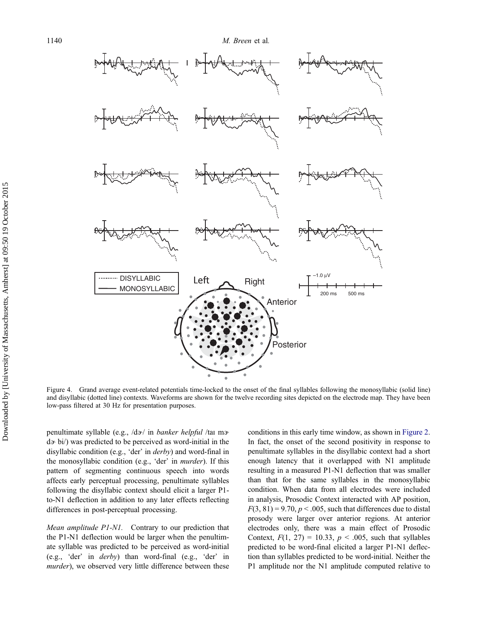<span id="page-9-0"></span>

Figure 4. Grand average event-related potentials time-locked to the onset of the final syllables following the monosyllabic (solid line) and disyllabic (dotted line) contexts. Waveforms are shown for the twelve recording sites depicted on the electrode map. They have been low-pass filtered at 30 Hz for presentation purposes.

penultimate syllable (e.g., /d $\alpha$ / in banker helpful /tai ma  $d$  $\alpha$  bi/) was predicted to be perceived as word-initial in the disyllabic condition (e.g., 'der' in derby) and word-final in the monosyllabic condition (e.g., 'der' in murder). If this pattern of segmenting continuous speech into words affects early perceptual processing, penultimate syllables following the disyllabic context should elicit a larger P1 to-N1 deflection in addition to any later effects reflecting differences in post-perceptual processing.

Mean amplitude P1-N1. Contrary to our prediction that the P1-N1 deflection would be larger when the penultimate syllable was predicted to be perceived as word-initial (e.g., 'der' in derby) than word-final (e.g., 'der' in murder), we observed very little difference between these

conditions in this early time window, as shown in [Figure 2](#page-7-0). In fact, the onset of the second positivity in response to penultimate syllables in the disyllabic context had a short enough latency that it overlapped with N1 amplitude resulting in a measured P1-N1 deflection that was smaller than that for the same syllables in the monosyllabic condition. When data from all electrodes were included in analysis, Prosodic Context interacted with AP position,  $F(3, 81) = 9.70, p < .005$ , such that differences due to distal prosody were larger over anterior regions. At anterior electrodes only, there was a main effect of Prosodic Context,  $F(1, 27) = 10.33$ ,  $p < .005$ , such that syllables predicted to be word-final elicited a larger P1-N1 deflection than syllables predicted to be word-initial. Neither the P1 amplitude nor the N1 amplitude computed relative to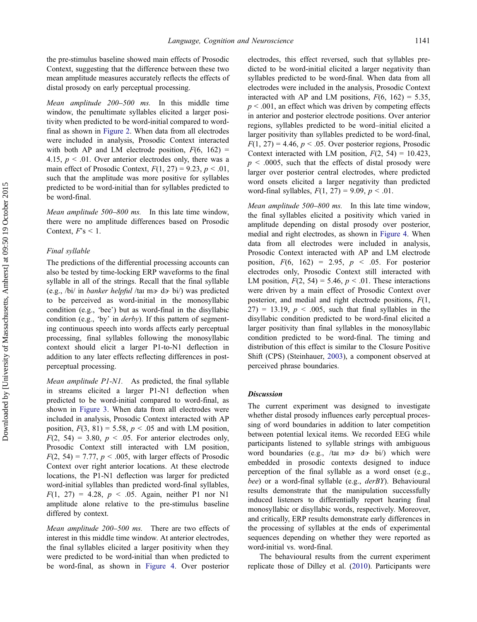the pre-stimulus baseline showed main effects of Prosodic Context, suggesting that the difference between these two mean amplitude measures accurately reflects the effects of distal prosody on early perceptual processing.

Mean amplitude 200–500 ms. In this middle time window, the penultimate syllables elicited a larger positivity when predicted to be word-initial compared to wordfinal as shown in [Figure 2.](#page-7-0) When data from all electrodes were included in analysis, Prosodic Context interacted with both AP and LM electrode position,  $F(6, 162)$  = 4.15,  $p < 0.01$ . Over anterior electrodes only, there was a main effect of Prosodic Context,  $F(1, 27) = 9.23$ ,  $p < .01$ , such that the amplitude was more positive for syllables predicted to be word-initial than for syllables predicted to be word-final.

Mean amplitude 500–800 ms. In this late time window, there were no amplitude differences based on Prosodic Context,  $F$ 's < 1.

#### Final syllable

The predictions of the differential processing accounts can also be tested by time-locking ERP waveforms to the final syllable in all of the strings. Recall that the final syllable (e.g., /bi/ in banker helpful /taɪ mɚ dɚ bi/) was predicted to be perceived as word-initial in the monosyllabic condition (e.g., 'bee') but as word-final in the disyllabic condition (e.g., 'by' in *derby*). If this pattern of segmenting continuous speech into words affects early perceptual processing, final syllables following the monosyllabic context should elicit a larger P1-to-N1 deflection in addition to any later effects reflecting differences in postperceptual processing.

Mean amplitude P1-N1. As predicted, the final syllable in streams elicited a larger P1-N1 deflection when predicted to be word-initial compared to word-final, as shown in [Figure 3.](#page-8-0) When data from all electrodes were included in analysis, Prosodic Context interacted with AP position,  $F(3, 81) = 5.58$ ,  $p < .05$  and with LM position,  $F(2, 54) = 3.80, p < .05$ . For anterior electrodes only, Prosodic Context still interacted with LM position,  $F(2, 54) = 7.77$ ,  $p < .005$ , with larger effects of Prosodic Context over right anterior locations. At these electrode locations, the P1-N1 deflection was larger for predicted word-initial syllables than predicted word-final syllables,  $F(1, 27) = 4.28, p < .05$ . Again, neither P1 nor N1 amplitude alone relative to the pre-stimulus baseline differed by context.

Mean amplitude 200–500 ms. There are two effects of interest in this middle time window. At anterior electrodes, the final syllables elicited a larger positivity when they were predicted to be word-initial than when predicted to be word-final, as shown in [Figure 4](#page-9-0). Over posterior

electrodes, this effect reversed, such that syllables predicted to be word-initial elicited a larger negativity than syllables predicted to be word-final. When data from all electrodes were included in the analysis, Prosodic Context interacted with AP and LM positions,  $F(6, 162) = 5.35$ ,  $p < .001$ , an effect which was driven by competing effects in anterior and posterior electrode positions. Over anterior regions, syllables predicted to be word–initial elicited a larger positivity than syllables predicted to be word-final,  $F(1, 27) = 4.46$ ,  $p < .05$ . Over posterior regions, Prosodic Context interacted with LM position,  $F(2, 54) = 10.423$ ,  $p \leq 0.0005$ , such that the effects of distal prosody were larger over posterior central electrodes, where predicted word onsets elicited a larger negativity than predicted word-final syllables,  $F(1, 27) = 9.09$ ,  $p < .01$ .

Mean amplitude 500–800 ms. In this late time window, the final syllables elicited a positivity which varied in amplitude depending on distal prosody over posterior, medial and right electrodes, as shown in [Figure 4](#page-9-0). When data from all electrodes were included in analysis, Prosodic Context interacted with AP and LM electrode position,  $F(6, 162) = 2.95$ ,  $p < .05$ . For posterior electrodes only, Prosodic Context still interacted with LM position,  $F(2, 54) = 5.46$ ,  $p < .01$ . These interactions were driven by a main effect of Prosodic Context over posterior, and medial and right electrode positions,  $F(1,$  $27$ ) = 13.19,  $p < .005$ , such that final syllables in the disyllabic condition predicted to be word-final elicited a larger positivity than final syllables in the monosyllabic condition predicted to be word-final. The timing and distribution of this effect is similar to the Closure Positive Shift (CPS) (Steinhauer, [2003](#page-14-0)), a component observed at perceived phrase boundaries.

# **Discussion**

The current experiment was designed to investigate whether distal prosody influences early perceptual processing of word boundaries in addition to later competition between potential lexical items. We recorded EEG while participants listened to syllable strings with ambiguous word boundaries (e.g., /tar ma da bi/) which were embedded in prosodic contexts designed to induce perception of the final syllable as a word onset (e.g., bee) or a word-final syllable (e.g., derBY). Behavioural results demonstrate that the manipulation successfully induced listeners to differentially report hearing final monosyllabic or disyllabic words, respectively. Moreover, and critically, ERP results demonstrate early differences in the processing of syllables at the ends of experimental sequences depending on whether they were reported as word-initial vs. word-final.

The behavioural results from the current experiment replicate those of Dilley et al. ([2010\)](#page-13-0). Participants were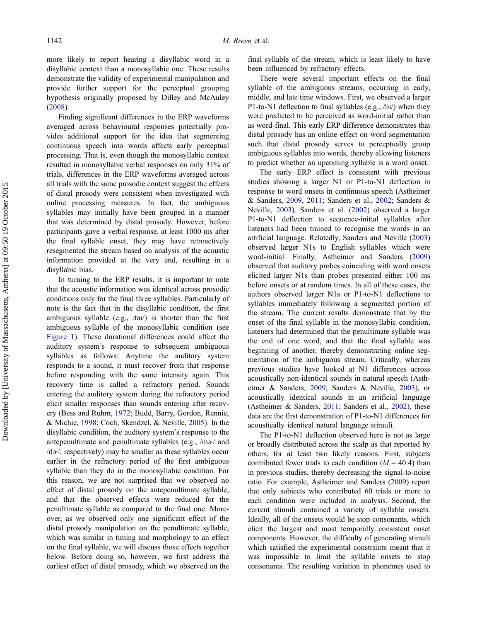more likely to report hearing a disyllabic word in a disyllabic context than a monosyllabic one. These results demonstrate the validity of experimental manipulation and provide further support for the perceptual grouping hypothesis originally proposed by Dilley and McAuley ([2008\)](#page-13-0).

Finding significant differences in the ERP waveforms averaged across behavioural responses potentially provides additional support for the idea that segmenting continuous speech into words affects early perceptual processing. That is, even though the monosyllabic context resulted in monosyllabic verbal responses on only 31% of trials, differences in the ERP waveforms averaged across all trials with the same prosodic context suggest the effects of distal prosody were consistent when investigated with online processing measures. In fact, the ambiguous syllables may initially have been grouped in a manner that was determined by distal prosody. However, before participants gave a verbal response, at least 1000 ms after the final syllable onset, they may have retroactively resegmented the stream based on analysis of the acoustic information provided at the very end, resulting in a disyllabic bias.

In turning to the ERP results, it is important to note that the acoustic information was identical across prosodic conditions only for the final three syllables. Particularly of note is the fact that in the disyllabic condition, the first ambiguous syllable (e.g., /taɪ/) is shorter than the first ambiguous syllable of the monosyllabic condition (see [Figure 1](#page-2-0)). These durational differences could affect the auditory system's response to subsequent ambiguous syllables as follows: Anytime the auditory system responds to a sound, it must recover from that response before responding with the same intensity again. This recovery time is called a refractory period. Sounds entering the auditory system during the refractory period elicit smaller responses than sounds entering after recovery (Bess and Ruhm, [1972;](#page-13-0) Budd, Barry, Gordon, Rennie, & Michie, [1998](#page-13-0); Coch, Skendzel, & Neville, [2005](#page-13-0)). In the disyllabic condition, the auditory system's response to the antepenultimate and penultimate syllables (e.g.,  $/m\gamma$  and  $\langle$ d $\alpha$  $\rangle$ , respectively) may be smaller as these syllables occur earlier in the refractory period of the first ambiguous syllable than they do in the monosyllabic condition. For this reason, we are not surprised that we observed no effect of distal prosody on the antepenultimate syllable, and that the observed effects were reduced for the penultimate syllable as compared to the final one. Moreover, as we observed only one significant effect of the distal prosody manipulation on the penultimate syllable, which was similar in timing and morphology to an effect on the final syllable, we will discuss those effects together below. Before doing so, however, we first address the earliest effect of distal prosody, which we observed on the

final syllable of the stream, which is least likely to have been influenced by refractory effects.

There were several important effects on the final syllable of the ambiguous streams, occurring in early, middle, and late time windows. First, we observed a larger P1-to-N1 deflection to final syllables (e.g., /bi/) when they were predicted to be perceived as word-initial rather than as word-final. This early ERP difference demonstrates that distal prosody has an online effect on word segmentation such that distal prosody serves to perceptually group ambiguous syllables into words, thereby allowing listeners to predict whether an upcoming syllable is a word onset.

The early ERP effect is consistent with previous studies showing a larger N1 or P1-to-N1 deflection in response to word onsets in continuous speech (Astheimer & Sanders, [2009,](#page-13-0) [2011;](#page-13-0) Sanders et al., [2002](#page-14-0); Sanders & Neville, [2003\)](#page-14-0). Sanders et al. [\(2002](#page-14-0)) observed a larger P1-to-N1 deflection to sequence-initial syllables after listeners had been trained to recognise the words in an artificial language. Relatedly, Sanders and Neville ([2003\)](#page-14-0) observed larger N1s to English syllables which were word-initial. Finally, Astheimer and Sanders ([2009\)](#page-13-0) observed that auditory probes coinciding with word onsets elicited larger N1s than probes presented either 100 ms before onsets or at random times. In all of these cases, the authors observed larger N1s or P1-to-N1 deflections to syllables immediately following a segmented portion of the stream. The current results demonstrate that by the onset of the final syllable in the monosyllabic condition, listeners had determined that the penultimate syllable was the end of one word, and that the final syllable was beginning of another, thereby demonstrating online segmentation of the ambiguous stream. Critically, whereas previous studies have looked at N1 differences across acoustically non-identical sounds in natural speech (Astheimer & Sanders, [2009](#page-13-0); Sanders & Neville, [2003\)](#page-14-0), or acoustically identical sounds in an artificial language (Astheimer & Sanders, [2011;](#page-13-0) Sanders et al., [2002](#page-14-0)), these data are the first demonstration of P1-to-N1 differences for acoustically identical natural language stimuli.

The P1-to-N1 deflection observed here is not as large or broadly distributed across the scalp as that reported by others, for at least two likely reasons. First, subjects contributed fewer trials to each condition  $(M = 40.4)$  than in previous studies, thereby decreasing the signal-to-noise ratio. For example, Astheimer and Sanders [\(2009](#page-13-0)) report that only subjects who contributed 60 trials or more to each condition were included in analysis. Second, the current stimuli contained a variety of syllable onsets. Ideally, all of the onsets would be stop consonants, which elicit the largest and most temporally consistent onset components. However, the difficulty of generating stimuli which satisfied the experimental constraints meant that it was impossible to limit the syllable onsets to stop consonants. The resulting variation in phonemes used to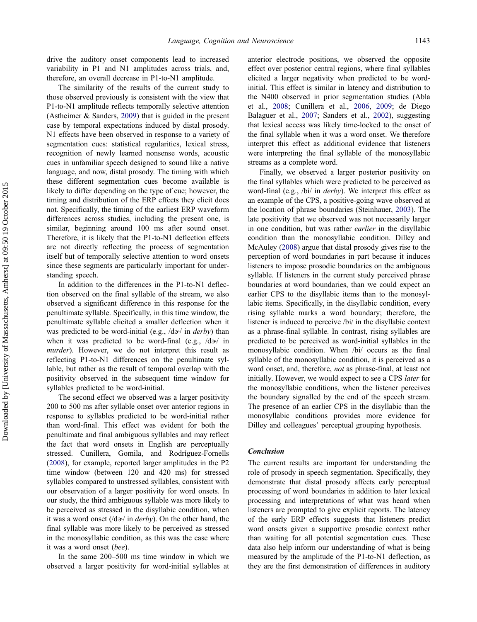drive the auditory onset components lead to increased variability in P1 and N1 amplitudes across trials, and, therefore, an overall decrease in P1-to-N1 amplitude.

The similarity of the results of the current study to those observed previously is consistent with the view that P1-to-N1 amplitude reflects temporally selective attention (Astheimer & Sanders, [2009\)](#page-13-0) that is guided in the present case by temporal expectations induced by distal prosody. N1 effects have been observed in response to a variety of segmentation cues: statistical regularities, lexical stress, recognition of newly learned nonsense words, acoustic cues in unfamiliar speech designed to sound like a native language, and now, distal prosody. The timing with which these different segmentation cues become available is likely to differ depending on the type of cue; however, the timing and distribution of the ERP effects they elicit does not. Specifically, the timing of the earliest ERP waveform differences across studies, including the present one, is similar, beginning around 100 ms after sound onset. Therefore, it is likely that the P1-to-N1 deflection effects are not directly reflecting the process of segmentation itself but of temporally selective attention to word onsets since these segments are particularly important for understanding speech.

In addition to the differences in the P1-to-N1 deflection observed on the final syllable of the stream, we also observed a significant difference in this response for the penultimate syllable. Specifically, in this time window, the penultimate syllable elicited a smaller deflection when it was predicted to be word-initial (e.g.,  $\langle d \phi |$ ) in *derby*) than when it was predicted to be word-final (e.g.,  $\langle d \phi \rangle$  in murder). However, we do not interpret this result as reflecting P1-to-N1 differences on the penultimate syllable, but rather as the result of temporal overlap with the positivity observed in the subsequent time window for syllables predicted to be word-initial.

The second effect we observed was a larger positivity 200 to 500 ms after syllable onset over anterior regions in response to syllables predicted to be word-initial rather than word-final. This effect was evident for both the penultimate and final ambiguous syllables and may reflect the fact that word onsets in English are perceptually stressed. Cunillera, Gomila, and Rodríguez-Fornells ([2008\)](#page-13-0), for example, reported larger amplitudes in the P2 time window (between 120 and 420 ms) for stressed syllables compared to unstressed syllables, consistent with our observation of a larger positivity for word onsets. In our study, the third ambiguous syllable was more likely to be perceived as stressed in the disyllabic condition, when it was a word onset ( $\langle d \phi \rangle$  in *derby*). On the other hand, the final syllable was more likely to be perceived as stressed in the monosyllabic condition, as this was the case where it was a word onset (bee).

In the same 200–500 ms time window in which we observed a larger positivity for word-initial syllables at

anterior electrode positions, we observed the opposite effect over posterior central regions, where final syllables elicited a larger negativity when predicted to be wordinitial. This effect is similar in latency and distribution to the N400 observed in prior segmentation studies (Abla et al., [2008](#page-13-0); Cunillera et al., [2006](#page-13-0), [2009;](#page-13-0) de Diego Balaguer et al., [2007](#page-13-0); Sanders et al., [2002](#page-14-0)), suggesting that lexical access was likely time-locked to the onset of the final syllable when it was a word onset. We therefore interpret this effect as additional evidence that listeners were interpreting the final syllable of the monosyllabic streams as a complete word.

Finally, we observed a larger posterior positivity on the final syllables which were predicted to be perceived as word-final (e.g., /bi/ in *derby*). We interpret this effect as an example of the CPS, a positive-going wave observed at the location of phrase boundaries (Steinhauer, [2003](#page-14-0)). The late positivity that we observed was not necessarily larger in one condition, but was rather earlier in the disyllabic condition than the monosyllabic condition. Dilley and McAuley [\(2008](#page-13-0)) argue that distal prosody gives rise to the perception of word boundaries in part because it induces listeners to impose prosodic boundaries on the ambiguous syllable. If listeners in the current study perceived phrase boundaries at word boundaries, than we could expect an earlier CPS to the disyllabic items than to the monosyllabic items. Specifically, in the disyllabic condition, every rising syllable marks a word boundary; therefore, the listener is induced to perceive /bi/ in the disyllabic context as a phrase-final syllable. In contrast, rising syllables are predicted to be perceived as word-initial syllables in the monosyllabic condition. When /bi/ occurs as the final syllable of the monosyllabic condition, it is perceived as a word onset, and, therefore, *not* as phrase-final, at least not initially. However, we would expect to see a CPS later for the monosyllabic conditions, when the listener perceives the boundary signalled by the end of the speech stream. The presence of an earlier CPS in the disyllabic than the monosyllabic conditions provides more evidence for Dilley and colleagues' perceptual grouping hypothesis.

#### Conclusion

The current results are important for understanding the role of prosody in speech segmentation. Specifically, they demonstrate that distal prosody affects early perceptual processing of word boundaries in addition to later lexical processing and interpretations of what was heard when listeners are prompted to give explicit reports. The latency of the early ERP effects suggests that listeners predict word onsets given a supportive prosodic context rather than waiting for all potential segmentation cues. These data also help inform our understanding of what is being measured by the amplitude of the P1-to-N1 deflection, as they are the first demonstration of differences in auditory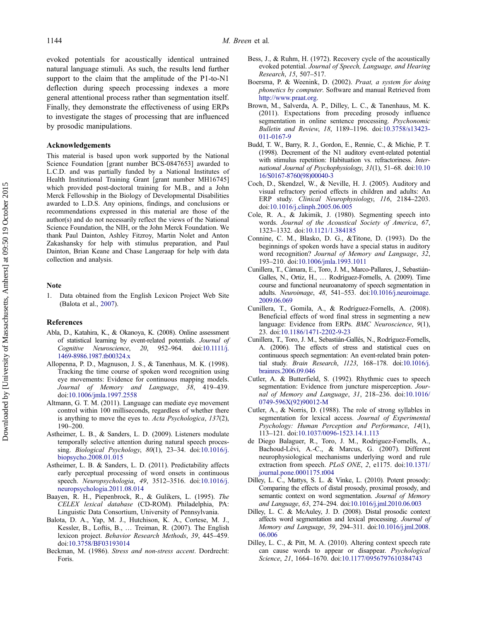<span id="page-13-0"></span>evoked potentials for acoustically identical untrained natural language stimuli. As such, the results lend further support to the claim that the amplitude of the P1-to-N1 deflection during speech processing indexes a more general attentional process rather than segmentation itself. Finally, they demonstrate the effectiveness of using ERPs to investigate the stages of processing that are influenced by prosodic manipulations.

# Acknowledgements

This material is based upon work supported by the National Science Foundation [grant number BCS-0847653] awarded to L.C.D. and was partially funded by a National Institutes of Health Institutional Training Grant [grant number MH16745] which provided post-doctoral training for M.B., and a John Merck Fellowship in the Biology of Developmental Disabilities awarded to L.D.S. Any opinions, findings, and conclusions or recommendations expressed in this material are those of the author(s) and do not necessarily reflect the views of the National Science Foundation, the NIH, or the John Merck Foundation. We thank Paul Dainton, Ashley Fitzroy, Martin Nolet and Anton Zakashansky for help with stimulus preparation, and Paul Dainton, Brian Keane and Chase Langeraap for help with data collection and analysis.

#### Note

1. Data obtained from the English Lexicon Project Web Site (Balota et al., 2007).

# References

- Abla, D., Katahira, K., & Okanoya, K. (2008). Online assessment of statistical learning by event-related potentials. Journal of Cognitive Neuroscience, 20, 952–964. doi[:10.1111/j.](http://dx.doi.org/10.1111/j.1469-8986.1987.tb00324.x) [1469-8986.1987.tb00324.x](http://dx.doi.org/10.1111/j.1469-8986.1987.tb00324.x)
- Allopenna, P. D., Magnuson, J. S., & Tanenhaus, M. K. (1998). Tracking the time course of spoken word recognition using eye movements: Evidence for continuous mapping models. Journal of Memory and Language, 38, 419–439. doi:[10.1006/jmla.1997.2558](http://dx.doi.org/10.1006/jmla.1997.2558)
- Altmann, G. T. M. (2011). Language can mediate eye movement control within 100 milliseconds, regardless of whether there is anything to move the eyes to. Acta Psychologica, 137(2), 190–200.
- Astheimer, L. B., & Sanders, L. D. (2009). Listeners modulate temporally selective attention during natural speech processing. Biological Psychology, 80(1), 23–34. doi:[10.1016/j.](http://dx.doi.org/10.1016/j.biopsycho.2008.01.015) [biopsycho.2008.01.015](http://dx.doi.org/10.1016/j.biopsycho.2008.01.015)
- Astheimer, L. B. & Sanders, L. D. (2011). Predictability affects early perceptual processing of word onsets in continuous speech. Neuropsychologia, 49, 3512–3516. doi:[10.1016/j.](http://dx.doi.org/10.1016/j.neuropsychologia.2011.08.014) [neuropsychologia.2011.08.014](http://dx.doi.org/10.1016/j.neuropsychologia.2011.08.014)
- Baayen, R. H., Piepenbrock, R., & Gulikers, L. (1995). The CELEX lexical database (CD-ROM). Philadelphia, PA: Linguistic Data Consortium, University of Pennsylvania.
- Balota, D. A., Yap, M. J., Hutchison, K. A., Cortese, M. J., Kessler, B., Loftis, B., … Treiman, R. (2007). The English lexicon project. Behavior Research Methods, 39, 445–459. doi:[10.3758/BF03193014](http://dx.doi.org/10.3758/BF03193014)
- Beckman, M. (1986). Stress and non-stress accent. Dordrecht: Foris.
- Bess, J., & Ruhm, H. (1972). Recovery cycle of the acoustically evoked potential. Journal of Speech, Language, and Hearing Research, 15, 507–517.
- Boersma, P. & Weenink, D. (2002). Praat, a system for doing phonetics by computer. Software and manual Retrieved from [http://www.praat.org.](http://www.praat.org)
- Brown, M., Salverda, A. P., Dilley, L. C., & Tanenhaus, M. K. (2011). Expectations from preceding prosody influence segmentation in online sentence processing. Psychonomic Bulletin and Review, 18, 1189–1196. doi[:10.3758/s13423-](http://dx.doi.org/10.3758/s13423-011-0167-9) [011-0167-9](http://dx.doi.org/10.3758/s13423-011-0167-9)
- Budd, T. W., Barry, R. J., Gordon, E., Rennie, C., & Michie, P. T. (1998). Decrement of the N1 auditory event-related potential with stimulus repetition: Habituation vs. refractoriness. International Journal of Psychophysiology, 31(1), 51–68. doi[:10.10](http://dx.doi.org/10.1016/S0167-8760(98)00040-3) [16/S0167-8760\(98\)00040-3](http://dx.doi.org/10.1016/S0167-8760(98)00040-3)
- Coch, D., Skendzel, W., & Neville, H. J. (2005). Auditory and visual refractory period effects in children and adults: An ERP study. Clinical Neurophysiology, 116, 2184–2203. doi:[10.1016/j.clinph.2005.06.005](http://dx.doi.org/10.1016/j.clinph.2005.06.005)
- Cole, R. A., & Jakimik, J. (1980). Segmenting speech into words. Journal of the Acoustical Society of America, 67, 1323–1332. doi[:10.1121/1.384185](http://dx.doi.org/10.1121/1.384185)
- Connine, C. M., Blasko, D. G., &Titone, D. (1993). Do the beginnings of spoken words have a special status in auditory word recognition? Journal of Memory and Language, 32, 193–210. doi[:10.1006/jmla.1993.1011](http://dx.doi.org/10.1006/jmla.1993.1011)
- Cunillera, T., Càmara, E., Toro, J. M., Marco-Pallares, J., Sebastián-Galles, N., Ortiz, H., … Rodríguez-Fornells, A. (2009). Time course and functional neuroanatomy of speech segmentation in adults. Neuroimage, 48, 541–553. doi[:10.1016/j.neuroimage.](http://dx.doi.org/10.1016/j.neuroimage.2009.06.069) [2009.06.069](http://dx.doi.org/10.1016/j.neuroimage.2009.06.069)
- Cunillera, T., Gomila, A., & Rodríguez-Fornells, A. (2008). Beneficial effects of word final stress in segmenting a new language: Evidence from ERPs. BMC Neuroscience, 9(1), 23. doi:[10.1186/1471-2202-9-23](http://dx.doi.org/10.1186/1471-2202-9-23)
- Cunillera, T., Toro, J. M., Sebastián-Gallés, N., Rodríguez-Fornells, A. (2006). The effects of stress and statistical cues on continuous speech segmentation: An event-related brain potential study. Brain Research, 1123, 168–178. doi[:10.1016/j.](http://dx.doi.org/10.1016/j.brainres.2006.09.046) [brainres.2006.09.046](http://dx.doi.org/10.1016/j.brainres.2006.09.046)
- Cutler, A. & Butterfield, S. (1992). Rhythmic cues to speech segmentation: Evidence from juncture misperception. Journal of Memory and Language, 31, 218–236. doi[:10.1016/](http://dx.doi.org/10.1016/0749-596X(92)90012-M) [0749-596X\(92\)90012-M](http://dx.doi.org/10.1016/0749-596X(92)90012-M)
- Cutler, A., & Norris, D. (1988). The role of strong syllables in segmentation for lexical access. Journal of Experimental Psychology: Human Perception and Performance, 14(1), 113–121. doi[:10.1037/0096-1523.14.1.113](http://dx.doi.org/10.1037/0096-1523.14.1.113)
- de Diego Balaguer, R., Toro, J. M., Rodriguez-Fornells, A., Bachoud-Lévi, A.-C., & Marcus, G. (2007). Different neurophysiological mechanisms underlying word and rule extraction from speech. PLoS ONE, 2, e1175. doi[:10.1371/](http://dx.doi.org/10.1371/journal.pone.0001175.t004) [journal.pone.0001175.t004](http://dx.doi.org/10.1371/journal.pone.0001175.t004)
- Dilley, L. C., Mattys, S. L. & Vinke, L. (2010). Potent prosody: Comparing the effects of distal prosody, proximal prosody, and semantic context on word segmentation. Journal of Memory and Language, 63, 274–294. doi[:10.1016/j.jml.2010.06.003](http://dx.doi.org/10.1016/j.jml.2010.06.003)
- Dilley, L. C. & McAuley, J. D. (2008). Distal prosodic context affects word segmentation and lexical processing. Journal of Memory and Language, 59, 294–311. doi:[10.1016/j.jml.2008.](http://dx.doi.org/10.1016/j.jml.2008.06.006) [06.006](http://dx.doi.org/10.1016/j.jml.2008.06.006)
- Dilley, L. C., & Pitt, M. A. (2010). Altering context speech rate can cause words to appear or disappear. Psychological Science, 21, 1664–1670. doi:[10.1177/0956797610384743](http://dx.doi.org/10.1177/0956797610384743)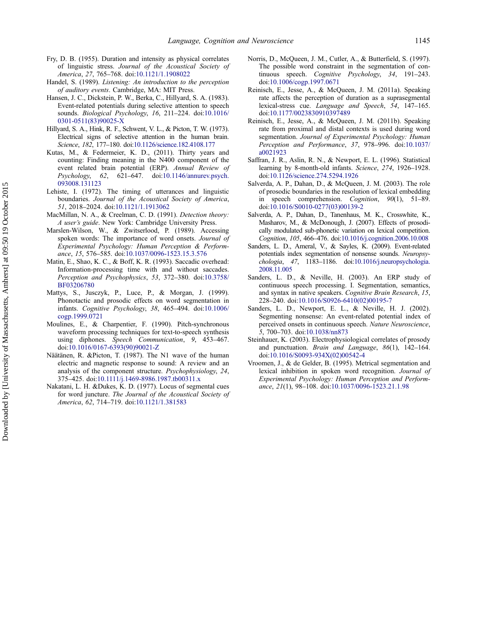- <span id="page-14-0"></span>Fry, D. B. (1955). Duration and intensity as physical correlates of linguistic stress. Journal of the Acoustical Society of America, 27, 765–768. doi:[10.1121/1.1908022](http://dx.doi.org/10.1121/1.1908022)
- Handel, S. (1989). Listening: An introduction to the perception of auditory events. Cambridge, MA: MIT Press.
- Hansen, J. C., Dickstein, P. W., Berka, C., Hillyard, S. A. (1983). Event-related potentials during selective attention to speech sounds. Biological Psychology, 16, 211–224. doi[:10.1016/](http://dx.doi.org/10.1016/0301-0511(83)90025-X) [0301-0511\(83\)90025-X](http://dx.doi.org/10.1016/0301-0511(83)90025-X)
- Hillyard, S. A., Hink, R. F., Schwent, V. L., & Picton, T. W. (1973). Electrical signs of selective attention in the human brain. Science, 182, 177–180. doi[:10.1126/science.182.4108.177](http://dx.doi.org/10.1126/science.182.4108.177)
- Kutas, M., & Federmeier, K. D., (2011). Thirty years and counting: Finding meaning in the N400 component of the event related brain potential (ERP). Annual Review of Psychology, 62, 621–647. doi[:10.1146/annurev.psych.](http://dx.doi.org/10.1146/annurev.psych.093008.131123) [093008.131123](http://dx.doi.org/10.1146/annurev.psych.093008.131123)
- Lehiste, I. (1972). The timing of utterances and linguistic boundaries. Journal of the Acoustical Society of America, 51, 2018–2024. doi[:10.1121/1.1913062](http://dx.doi.org/10.1121/1.1913062)
- MacMillan, N. A., & Creelman, C. D. (1991). Detection theory: A user's guide. New York: Cambridge University Press.
- Marslen-Wilson, W., & Zwitserlood, P. (1989). Accessing spoken words: The importance of word onsets. Journal of Experimental Psychology: Human Perception & Performance, 15, 576–585. doi[:10.1037/0096-1523.15.3.576](http://dx.doi.org/10.1037/0096-1523.15.3.576)
- Matin, E., Shao, K. C., & Boff, K. R. (1993). Saccadic overhead: Information-processing time with and without saccades. Perception and Psychophysics, 53, 372–380. doi[:10.3758/](http://dx.doi.org/10.3758/BF03206780) [BF03206780](http://dx.doi.org/10.3758/BF03206780)
- Mattys, S., Jusczyk, P., Luce, P., & Morgan, J. (1999). Phonotactic and prosodic effects on word segmentation in infants. Cognitive Psychology, 38, 465–494. doi[:10.1006/](http://dx.doi.org/10.1006/cogp.1999.0721) [cogp.1999.0721](http://dx.doi.org/10.1006/cogp.1999.0721)
- Moulines, E., & Charpentier, F. (1990). Pitch-synchronous waveform processing techniques for text-to-speech synthesis using diphones. Speech Communication, 9, 453–467. doi:[10.1016/0167-6393\(90\)90021-Z](http://dx.doi.org/10.1016/0167-6393(90)90021-Z)
- Näätänen, R. &Picton, T. (1987). The N1 wave of the human electric and magnetic response to sound: A review and an analysis of the component structure. Psychophysiology, 24, 375–425. doi[:10.1111/j.1469-8986.1987.tb00311.x](http://dx.doi.org/10.1111/j.1469-8986.1987.tb00311.x)
- Nakatani, L. H. &Dukes, K. D. (1977). Locus of segmental cues for word juncture. The Journal of the Acoustical Society of America, 62, 714–719. doi:[10.1121/1.381583](http://dx.doi.org/10.1121/1.381583)
- Norris, D., McQueen, J. M., Cutler, A., & Butterfield, S. (1997). The possible word constraint in the segmentation of continuous speech. Cognitive Psychology, 34, 191-243. doi:[10.1006/cogp.1997.0671](http://dx.doi.org/10.1006/cogp.1997.0671)
- Reinisch, E., Jesse, A., & McQueen, J. M. (2011a). Speaking rate affects the perception of duration as a suprasegmental lexical-stress cue. Language and Speech, 54, 147–165. doi:[10.1177/0023830910397489](http://dx.doi.org/10.1177/0023830910397489)
- Reinisch, E., Jesse, A., & McQueen, J. M. (2011b). Speaking rate from proximal and distal contexts is used during word segmentation. Journal of Experimental Psychology: Human Perception and Performance, 37, 978–996. doi[:10.1037/](http://dx.doi.org/10.1037/a0021923) [a0021923](http://dx.doi.org/10.1037/a0021923)
- Saffran, J. R., Aslin, R. N., & Newport, E. L. (1996). Statistical learning by 8-month-old infants. Science, 274, 1926–1928. doi:[10.1126/science.274.5294.1926](http://dx.doi.org/10.1126/science.274.5294.1926)
- Salverda, A. P., Dahan, D., & McQueen, J. M. (2003). The role of prosodic boundaries in the resolution of lexical embedding in speech comprehension. Cognition, 90(1), 51–89. doi:[10.1016/S0010-0277\(03\)00139-2](http://dx.doi.org/10.1016/S0010-0277(03)00139-2)
- Salverda, A. P., Dahan, D., Tanenhaus, M. K., Crosswhite, K., Masharov, M., & McDonough, J. (2007). Effects of prosodically modulated sub-phonetic variation on lexical competition. Cognition, 105, 466–476. doi[:10.1016/j.cognition.2006.10.008](http://dx.doi.org/10.1016/j.cognition.2006.10.008)
- Sanders, L. D., Ameral, V., & Sayles, K. (2009). Event-related potentials index segmentation of nonsense sounds. Neuropsychologia, 47, 1183–1186. doi:[10.1016/j.neuropsychologia.](http://dx.doi.org/10.1016/j.neuropsychologia.2008.11.005) [2008.11.005](http://dx.doi.org/10.1016/j.neuropsychologia.2008.11.005)
- Sanders, L. D., & Neville, H. (2003). An ERP study of continuous speech processing. I. Segmentation, semantics, and syntax in native speakers. Cognitive Brain Research, 15, 228–240. doi[:10.1016/S0926-6410\(02\)00195-7](http://dx.doi.org/10.1016/S0926-6410(02)00195-7)
- Sanders, L. D., Newport, E. L., & Neville, H. J. (2002). Segmenting nonsense: An event-related potential index of perceived onsets in continuous speech. Nature Neuroscience, 5, 700–703. doi:[10.1038/nn873](http://dx.doi.org/10.1038/nn873)
- Steinhauer, K. (2003). Electrophysiological correlates of prosody and punctuation. Brain and Language, 86(1), 142-164. doi:[10.1016/S0093-934X\(02\)00542-4](http://dx.doi.org/10.1016/S0093-934X(02)00542-4)
- Vroomen, J., & de Gelder, B. (1995). Metrical segmentation and lexical inhibition in spoken word recognition. Journal of Experimental Psychology: Human Perception and Performance, 21(1), 98–108. doi[:10.1037/0096-1523.21.1.98](http://dx.doi.org/10.1037/0096-1523.21.1.98)